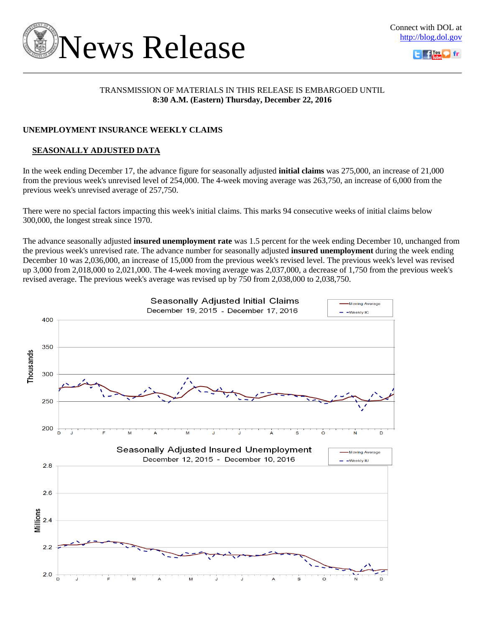



## TRANSMISSION OF MATERIALS IN THIS RELEASE IS EMBARGOED UNTIL **8:30 A.M. (Eastern) Thursday, December 22, 2016**

# **UNEMPLOYMENT INSURANCE WEEKLY CLAIMS**

# **SEASONALLY ADJUSTED DATA**

In the week ending December 17, the advance figure for seasonally adjusted **initial claims** was 275,000, an increase of 21,000 from the previous week's unrevised level of 254,000. The 4-week moving average was 263,750, an increase of 6,000 from the previous week's unrevised average of 257,750.

There were no special factors impacting this week's initial claims. This marks 94 consecutive weeks of initial claims below 300,000, the longest streak since 1970.

The advance seasonally adjusted **insured unemployment rate** was 1.5 percent for the week ending December 10, unchanged from the previous week's unrevised rate. The advance number for seasonally adjusted **insured unemployment** during the week ending December 10 was 2,036,000, an increase of 15,000 from the previous week's revised level. The previous week's level was revised up 3,000 from 2,018,000 to 2,021,000. The 4-week moving average was 2,037,000, a decrease of 1,750 from the previous week's revised average. The previous week's average was revised up by 750 from 2,038,000 to 2,038,750.

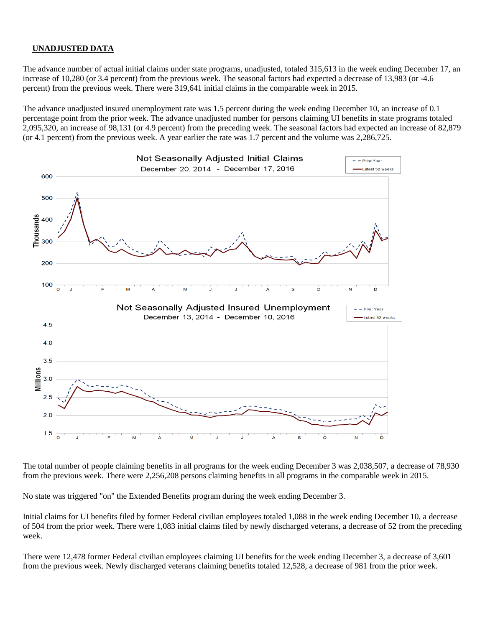## **UNADJUSTED DATA**

The advance number of actual initial claims under state programs, unadjusted, totaled 315,613 in the week ending December 17, an increase of 10,280 (or 3.4 percent) from the previous week. The seasonal factors had expected a decrease of 13,983 (or -4.6 percent) from the previous week. There were 319,641 initial claims in the comparable week in 2015.

The advance unadjusted insured unemployment rate was 1.5 percent during the week ending December 10, an increase of 0.1 percentage point from the prior week. The advance unadjusted number for persons claiming UI benefits in state programs totaled 2,095,320, an increase of 98,131 (or 4.9 percent) from the preceding week. The seasonal factors had expected an increase of 82,879 (or 4.1 percent) from the previous week. A year earlier the rate was 1.7 percent and the volume was 2,286,725.



The total number of people claiming benefits in all programs for the week ending December 3 was 2,038,507, a decrease of 78,930 from the previous week. There were 2,256,208 persons claiming benefits in all programs in the comparable week in 2015.

No state was triggered "on" the Extended Benefits program during the week ending December 3.

Initial claims for UI benefits filed by former Federal civilian employees totaled 1,088 in the week ending December 10, a decrease of 504 from the prior week. There were 1,083 initial claims filed by newly discharged veterans, a decrease of 52 from the preceding week.

There were 12,478 former Federal civilian employees claiming UI benefits for the week ending December 3, a decrease of 3,601 from the previous week. Newly discharged veterans claiming benefits totaled 12,528, a decrease of 981 from the prior week.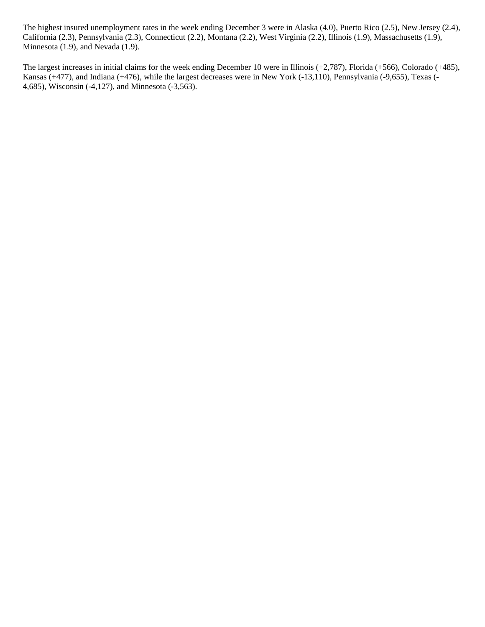The highest insured unemployment rates in the week ending December 3 were in Alaska (4.0), Puerto Rico (2.5), New Jersey (2.4), California (2.3), Pennsylvania (2.3), Connecticut (2.2), Montana (2.2), West Virginia (2.2), Illinois (1.9), Massachusetts (1.9), Minnesota (1.9), and Nevada (1.9).

The largest increases in initial claims for the week ending December 10 were in Illinois (+2,787), Florida (+566), Colorado (+485), Kansas (+477), and Indiana (+476), while the largest decreases were in New York (-13,110), Pennsylvania (-9,655), Texas (- 4,685), Wisconsin (-4,127), and Minnesota (-3,563).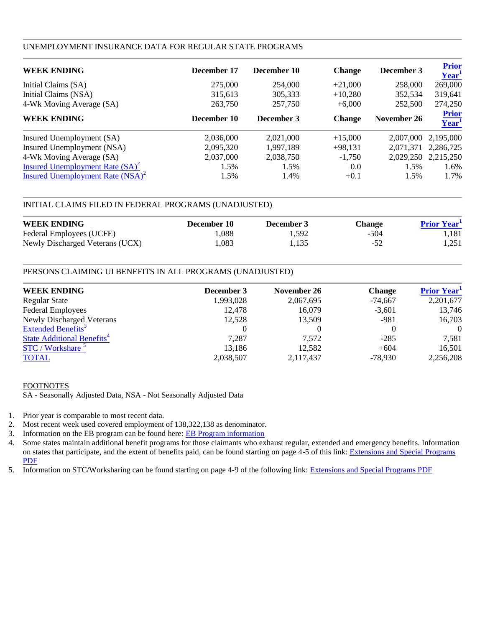### UNEMPLOYMENT INSURANCE DATA FOR REGULAR STATE PROGRAMS

| <b>WEEK ENDING</b>                  | December 17 | December 10 | <b>Change</b> | December 3  | <b>Prior</b><br>$\overline{\text{Year}^1}$ |
|-------------------------------------|-------------|-------------|---------------|-------------|--------------------------------------------|
| Initial Claims (SA)                 | 275,000     | 254,000     | $+21,000$     | 258,000     | 269,000                                    |
| Initial Claims (NSA)                | 315,613     | 305,333     | $+10,280$     | 352,534     | 319,641                                    |
| 4-Wk Moving Average (SA)            | 263,750     | 257,750     | $+6,000$      | 252,500     | 274,250                                    |
| <b>WEEK ENDING</b>                  | December 10 | December 3  | <b>Change</b> | November 26 | Prior<br>Year                              |
| Insured Unemployment (SA)           | 2,036,000   | 2,021,000   | $+15,000$     | 2,007,000   | 2,195,000                                  |
| Insured Unemployment (NSA)          | 2,095,320   | 1,997,189   | $+98,131$     | 2,071,371   | 2,286,725                                  |
| 4-Wk Moving Average (SA)            | 2,037,000   | 2,038,750   | $-1,750$      | 2,029,250   | 2,215,250                                  |
| Insured Unemployment Rate $(SA)^2$  | 1.5%        | 1.5%        | 0.0           | 1.5%        | 1.6%                                       |
| Insured Unemployment Rate $(NSA)^2$ | 1.5%        | 1.4%        | $+0.1$        | 1.5%        | 1.7%                                       |

## INITIAL CLAIMS FILED IN FEDERAL PROGRAMS (UNADJUSTED)

| <b>WEEK ENDING</b>              | December 10 | December 3 | <b>Change</b> | <b>Prior Year</b> |
|---------------------------------|-------------|------------|---------------|-------------------|
| Federal Employees (UCFE)        | .088        | 1.592      | $-504$        | 1.181             |
| Newly Discharged Veterans (UCX) | .083        | 1.135      | $-52$         | 1.251             |

### PERSONS CLAIMING UI BENEFITS IN ALL PROGRAMS (UNADJUSTED)

| <b>WEEK ENDING</b>                           | December 3 | November 26 | <b>Change</b> | <b>Prior Year</b> |
|----------------------------------------------|------------|-------------|---------------|-------------------|
| <b>Regular State</b>                         | 1,993,028  | 2,067,695   | $-74,667$     | 2,201,677         |
| <b>Federal Employees</b>                     | 12,478     | 16,079      | $-3,601$      | 13,746            |
| <b>Newly Discharged Veterans</b>             | 12,528     | 13,509      | $-981$        | 16,703            |
| <b>Extended Benefits</b> <sup>3</sup>        |            |             |               | $\Omega$          |
| <b>State Additional Benefits<sup>4</sup></b> | 7,287      | 7.572       | $-285$        | 7,581             |
| STC / Workshare <sup>5</sup>                 | 13,186     | 12,582      | $+604$        | 16,501            |
| <b>TOTAL</b>                                 | 2,038,507  | 2,117,437   | $-78,930$     | 2,256,208         |

### FOOTNOTES

SA - Seasonally Adjusted Data, NSA - Not Seasonally Adjusted Data

- 1. Prior year is comparable to most recent data.
- 2. Most recent week used covered employment of 138,322,138 as denominator.
- 3. Information on the EB program can be found here: **EB Program information**
- 4. Some states maintain additional benefit programs for those claimants who exhaust regular, extended and emergency benefits. Information on states that participate, and the extent of benefits paid, can be found starting on page 4-5 of this link: [Extensions and Special Programs](http://oui.doleta.gov/unemploy/pdf/uilawcompar/2010/special.pdf)  [PDF](http://oui.doleta.gov/unemploy/pdf/uilawcompar/2010/special.pdf)
- 5. Information on STC/Worksharing can be found starting on page 4-9 of the following link: [Extensions and Special Programs PDF](http://oui.doleta.gov/unemploy/pdf/uilawcompar/2010/special.pdf)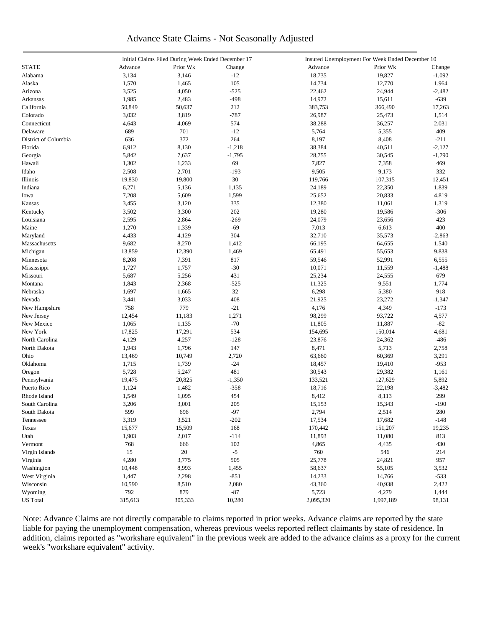# Advance State Claims - Not Seasonally Adjusted

| <b>STATE</b><br>Prior Wk<br>Advance<br>Prior Wk<br>Advance<br>Change<br>Change<br>3,146<br>$-12$<br>19,827<br>3,134<br>18,735<br>$-1,092$<br>Alabama<br>105<br>Alaska<br>1,570<br>1,465<br>14,734<br>12,770<br>1,964<br>$-525$<br>3,525<br>4,050<br>22,462<br>24,944<br>$-2,482$<br>Arizona<br>1,985<br>14,972<br>$-639$<br>2,483<br>$-498$<br>15,611<br>Arkansas<br>California<br>50,849<br>50,637<br>212<br>383,753<br>366,490<br>17,263<br>3,032<br>$-787$<br>Colorado<br>3,819<br>26,987<br>1,514<br>25,473<br>Connecticut<br>4,643<br>4,069<br>574<br>38,288<br>36,257<br>2,031<br>689<br>$-12$<br>5,764<br>409<br>Delaware<br>701<br>5,355<br>264<br>District of Columbia<br>636<br>372<br>8,197<br>8,408<br>$-211$<br>Florida<br>6,912<br>8,130<br>$-1,218$<br>38,384<br>40,511<br>$-2,127$<br>$-1,790$<br>Georgia<br>5,842<br>7,637<br>$-1,795$<br>28,755<br>30,545<br>69<br>1,302<br>7,827<br>7,358<br>469<br>Hawaii<br>1,233<br>2,701<br>9,505<br>9,173<br>Idaho<br>2,508<br>$-193$<br>332<br>30<br>107,315<br>Illinois<br>19,830<br>19,800<br>119,766<br>12,451<br>6,271<br>5,136<br>24,189<br>22,350<br>1,839<br>Indiana<br>1,135<br>7,208<br>5,609<br>1,599<br>25,652<br>20,833<br>4,819<br>Iowa<br>3,455<br>3,120<br>335<br>12,380<br>11,061<br>1,319<br>Kansas<br>Kentucky<br>3,502<br>3,300<br>202<br>19,280<br>19,586<br>$-306$<br>$-269$<br>24,079<br>Louisiana<br>2,595<br>2,864<br>23,656<br>423<br>$-69$<br>7,013<br>6,613<br>400<br>Maine<br>1,270<br>1,339<br>304<br>32,710<br>4,433<br>4,129<br>35,573<br>$-2,863$<br>Maryland<br>8,270<br>Massachusetts<br>9,682<br>1,412<br>66,195<br>64,655<br>1,540<br>12,390<br>13,859<br>1,469<br>65,491<br>55,653<br>9,838<br>Michigan<br>Minnesota<br>8,208<br>7,391<br>817<br>59,546<br>52,991<br>6,555<br>$-30$<br>1,727<br>1,757<br>10,071<br>11,559<br>Mississippi<br>$-1,488$<br>5,687<br>5,256<br>431<br>25,234<br>24,555<br>679<br>Missouri<br>$-525$<br>9,551<br>Montana<br>1,843<br>2,368<br>11,325<br>1,774<br>32<br>6,298<br>1,697<br>1,665<br>5,380<br>918<br>Nebraska<br>408<br>Nevada<br>3,441<br>3,033<br>21,925<br>23,272<br>$-1,347$<br>758<br>779<br>$-21$<br>4,349<br>4,176<br>$-173$<br>New Hampshire<br>98,299<br>93,722<br>New Jersey<br>12,454<br>11,183<br>1,271<br>4,577<br>$-70$<br>$-82$<br>New Mexico<br>1,065<br>1,135<br>11,805<br>11,887<br>534<br>New York<br>17,825<br>17,291<br>154,695<br>150,014<br>4,681<br>North Carolina<br>4,129<br>4,257<br>$-128$<br>23,876<br>24,362<br>-486<br>147<br>North Dakota<br>1,943<br>1,796<br>8,471<br>5,713<br>2,758<br>Ohio<br>13,469<br>10,749<br>2,720<br>63,660<br>60,369<br>3,291<br>$-24$<br>Oklahoma<br>1,715<br>1,739<br>18,457<br>19,410<br>$-953$<br>481<br>5,728<br>5,247<br>30,543<br>29,382<br>Oregon<br>1,161<br>20,825<br>Pennsylvania<br>19,475<br>$-1,350$<br>133,521<br>127,629<br>5,892<br>Puerto Rico<br>1,124<br>1,482<br>$-358$<br>18,716<br>$-3,482$<br>22,198<br>Rhode Island<br>1,549<br>1,095<br>454<br>8,412<br>8,113<br>299<br>3,206<br>$-190$<br>South Carolina<br>3,001<br>205<br>15,153<br>15,343<br>599<br>696<br>$-97$<br>2,794<br>South Dakota<br>2,514<br>280<br>3,521<br>$-202$<br>Tennessee<br>3,319<br>17,534<br>17,682<br>$-148$<br>168<br>Texas<br>15,677<br>15,509<br>170,442<br>151,207<br>19,235<br>2,017<br>$-114$<br>Utah<br>1,903<br>11,893<br>11,080<br>813<br>102<br>Vermont<br>768<br>666<br>4,865<br>4,435<br>430<br>15<br>$20\,$<br>$-5$<br>760<br>Virgin Islands<br>546<br>214<br>3,775<br>505<br>25,778<br>Virginia<br>4,280<br>24,821<br>957<br>8,993<br>Washington<br>10,448<br>1,455<br>58,637<br>55,105<br>3,532<br>$-851$<br>West Virginia<br>1,447<br>2,298<br>14,233<br>14,766<br>$-533$<br>Wisconsin<br>10,590<br>8,510<br>2,080<br>43,360<br>40,938<br>2,422<br>792<br>879<br>$-87$<br>5,723<br>Wyoming<br>4,279<br>1,444<br><b>US</b> Total<br>2,095,320<br>315,613<br>305,333<br>10,280<br>1,997,189<br>98,131 |  | Initial Claims Filed During Week Ended December 17 |  | Insured Unemployment For Week Ended December 10 |  |  |  |  |  |  |
|-----------------------------------------------------------------------------------------------------------------------------------------------------------------------------------------------------------------------------------------------------------------------------------------------------------------------------------------------------------------------------------------------------------------------------------------------------------------------------------------------------------------------------------------------------------------------------------------------------------------------------------------------------------------------------------------------------------------------------------------------------------------------------------------------------------------------------------------------------------------------------------------------------------------------------------------------------------------------------------------------------------------------------------------------------------------------------------------------------------------------------------------------------------------------------------------------------------------------------------------------------------------------------------------------------------------------------------------------------------------------------------------------------------------------------------------------------------------------------------------------------------------------------------------------------------------------------------------------------------------------------------------------------------------------------------------------------------------------------------------------------------------------------------------------------------------------------------------------------------------------------------------------------------------------------------------------------------------------------------------------------------------------------------------------------------------------------------------------------------------------------------------------------------------------------------------------------------------------------------------------------------------------------------------------------------------------------------------------------------------------------------------------------------------------------------------------------------------------------------------------------------------------------------------------------------------------------------------------------------------------------------------------------------------------------------------------------------------------------------------------------------------------------------------------------------------------------------------------------------------------------------------------------------------------------------------------------------------------------------------------------------------------------------------------------------------------------------------------------------------------------------------------------------------------------------------------------------------------------------------------------------------------------------------------------------------------------------------------------------------------------------------------------------------------------------------------------------------------------------------------------------------------------------------------------------------------------------------------------------------------------------------------------------------------------------------------------------------------------------------------------------------------------------------------------------------------------------------------------------------------------------------------------------------------|--|----------------------------------------------------|--|-------------------------------------------------|--|--|--|--|--|--|
|                                                                                                                                                                                                                                                                                                                                                                                                                                                                                                                                                                                                                                                                                                                                                                                                                                                                                                                                                                                                                                                                                                                                                                                                                                                                                                                                                                                                                                                                                                                                                                                                                                                                                                                                                                                                                                                                                                                                                                                                                                                                                                                                                                                                                                                                                                                                                                                                                                                                                                                                                                                                                                                                                                                                                                                                                                                                                                                                                                                                                                                                                                                                                                                                                                                                                                                                                                                                                                                                                                                                                                                                                                                                                                                                                                                                                                                                                                                       |  |                                                    |  |                                                 |  |  |  |  |  |  |
|                                                                                                                                                                                                                                                                                                                                                                                                                                                                                                                                                                                                                                                                                                                                                                                                                                                                                                                                                                                                                                                                                                                                                                                                                                                                                                                                                                                                                                                                                                                                                                                                                                                                                                                                                                                                                                                                                                                                                                                                                                                                                                                                                                                                                                                                                                                                                                                                                                                                                                                                                                                                                                                                                                                                                                                                                                                                                                                                                                                                                                                                                                                                                                                                                                                                                                                                                                                                                                                                                                                                                                                                                                                                                                                                                                                                                                                                                                                       |  |                                                    |  |                                                 |  |  |  |  |  |  |
|                                                                                                                                                                                                                                                                                                                                                                                                                                                                                                                                                                                                                                                                                                                                                                                                                                                                                                                                                                                                                                                                                                                                                                                                                                                                                                                                                                                                                                                                                                                                                                                                                                                                                                                                                                                                                                                                                                                                                                                                                                                                                                                                                                                                                                                                                                                                                                                                                                                                                                                                                                                                                                                                                                                                                                                                                                                                                                                                                                                                                                                                                                                                                                                                                                                                                                                                                                                                                                                                                                                                                                                                                                                                                                                                                                                                                                                                                                                       |  |                                                    |  |                                                 |  |  |  |  |  |  |
|                                                                                                                                                                                                                                                                                                                                                                                                                                                                                                                                                                                                                                                                                                                                                                                                                                                                                                                                                                                                                                                                                                                                                                                                                                                                                                                                                                                                                                                                                                                                                                                                                                                                                                                                                                                                                                                                                                                                                                                                                                                                                                                                                                                                                                                                                                                                                                                                                                                                                                                                                                                                                                                                                                                                                                                                                                                                                                                                                                                                                                                                                                                                                                                                                                                                                                                                                                                                                                                                                                                                                                                                                                                                                                                                                                                                                                                                                                                       |  |                                                    |  |                                                 |  |  |  |  |  |  |
|                                                                                                                                                                                                                                                                                                                                                                                                                                                                                                                                                                                                                                                                                                                                                                                                                                                                                                                                                                                                                                                                                                                                                                                                                                                                                                                                                                                                                                                                                                                                                                                                                                                                                                                                                                                                                                                                                                                                                                                                                                                                                                                                                                                                                                                                                                                                                                                                                                                                                                                                                                                                                                                                                                                                                                                                                                                                                                                                                                                                                                                                                                                                                                                                                                                                                                                                                                                                                                                                                                                                                                                                                                                                                                                                                                                                                                                                                                                       |  |                                                    |  |                                                 |  |  |  |  |  |  |
|                                                                                                                                                                                                                                                                                                                                                                                                                                                                                                                                                                                                                                                                                                                                                                                                                                                                                                                                                                                                                                                                                                                                                                                                                                                                                                                                                                                                                                                                                                                                                                                                                                                                                                                                                                                                                                                                                                                                                                                                                                                                                                                                                                                                                                                                                                                                                                                                                                                                                                                                                                                                                                                                                                                                                                                                                                                                                                                                                                                                                                                                                                                                                                                                                                                                                                                                                                                                                                                                                                                                                                                                                                                                                                                                                                                                                                                                                                                       |  |                                                    |  |                                                 |  |  |  |  |  |  |
|                                                                                                                                                                                                                                                                                                                                                                                                                                                                                                                                                                                                                                                                                                                                                                                                                                                                                                                                                                                                                                                                                                                                                                                                                                                                                                                                                                                                                                                                                                                                                                                                                                                                                                                                                                                                                                                                                                                                                                                                                                                                                                                                                                                                                                                                                                                                                                                                                                                                                                                                                                                                                                                                                                                                                                                                                                                                                                                                                                                                                                                                                                                                                                                                                                                                                                                                                                                                                                                                                                                                                                                                                                                                                                                                                                                                                                                                                                                       |  |                                                    |  |                                                 |  |  |  |  |  |  |
|                                                                                                                                                                                                                                                                                                                                                                                                                                                                                                                                                                                                                                                                                                                                                                                                                                                                                                                                                                                                                                                                                                                                                                                                                                                                                                                                                                                                                                                                                                                                                                                                                                                                                                                                                                                                                                                                                                                                                                                                                                                                                                                                                                                                                                                                                                                                                                                                                                                                                                                                                                                                                                                                                                                                                                                                                                                                                                                                                                                                                                                                                                                                                                                                                                                                                                                                                                                                                                                                                                                                                                                                                                                                                                                                                                                                                                                                                                                       |  |                                                    |  |                                                 |  |  |  |  |  |  |
|                                                                                                                                                                                                                                                                                                                                                                                                                                                                                                                                                                                                                                                                                                                                                                                                                                                                                                                                                                                                                                                                                                                                                                                                                                                                                                                                                                                                                                                                                                                                                                                                                                                                                                                                                                                                                                                                                                                                                                                                                                                                                                                                                                                                                                                                                                                                                                                                                                                                                                                                                                                                                                                                                                                                                                                                                                                                                                                                                                                                                                                                                                                                                                                                                                                                                                                                                                                                                                                                                                                                                                                                                                                                                                                                                                                                                                                                                                                       |  |                                                    |  |                                                 |  |  |  |  |  |  |
|                                                                                                                                                                                                                                                                                                                                                                                                                                                                                                                                                                                                                                                                                                                                                                                                                                                                                                                                                                                                                                                                                                                                                                                                                                                                                                                                                                                                                                                                                                                                                                                                                                                                                                                                                                                                                                                                                                                                                                                                                                                                                                                                                                                                                                                                                                                                                                                                                                                                                                                                                                                                                                                                                                                                                                                                                                                                                                                                                                                                                                                                                                                                                                                                                                                                                                                                                                                                                                                                                                                                                                                                                                                                                                                                                                                                                                                                                                                       |  |                                                    |  |                                                 |  |  |  |  |  |  |
|                                                                                                                                                                                                                                                                                                                                                                                                                                                                                                                                                                                                                                                                                                                                                                                                                                                                                                                                                                                                                                                                                                                                                                                                                                                                                                                                                                                                                                                                                                                                                                                                                                                                                                                                                                                                                                                                                                                                                                                                                                                                                                                                                                                                                                                                                                                                                                                                                                                                                                                                                                                                                                                                                                                                                                                                                                                                                                                                                                                                                                                                                                                                                                                                                                                                                                                                                                                                                                                                                                                                                                                                                                                                                                                                                                                                                                                                                                                       |  |                                                    |  |                                                 |  |  |  |  |  |  |
|                                                                                                                                                                                                                                                                                                                                                                                                                                                                                                                                                                                                                                                                                                                                                                                                                                                                                                                                                                                                                                                                                                                                                                                                                                                                                                                                                                                                                                                                                                                                                                                                                                                                                                                                                                                                                                                                                                                                                                                                                                                                                                                                                                                                                                                                                                                                                                                                                                                                                                                                                                                                                                                                                                                                                                                                                                                                                                                                                                                                                                                                                                                                                                                                                                                                                                                                                                                                                                                                                                                                                                                                                                                                                                                                                                                                                                                                                                                       |  |                                                    |  |                                                 |  |  |  |  |  |  |
|                                                                                                                                                                                                                                                                                                                                                                                                                                                                                                                                                                                                                                                                                                                                                                                                                                                                                                                                                                                                                                                                                                                                                                                                                                                                                                                                                                                                                                                                                                                                                                                                                                                                                                                                                                                                                                                                                                                                                                                                                                                                                                                                                                                                                                                                                                                                                                                                                                                                                                                                                                                                                                                                                                                                                                                                                                                                                                                                                                                                                                                                                                                                                                                                                                                                                                                                                                                                                                                                                                                                                                                                                                                                                                                                                                                                                                                                                                                       |  |                                                    |  |                                                 |  |  |  |  |  |  |
|                                                                                                                                                                                                                                                                                                                                                                                                                                                                                                                                                                                                                                                                                                                                                                                                                                                                                                                                                                                                                                                                                                                                                                                                                                                                                                                                                                                                                                                                                                                                                                                                                                                                                                                                                                                                                                                                                                                                                                                                                                                                                                                                                                                                                                                                                                                                                                                                                                                                                                                                                                                                                                                                                                                                                                                                                                                                                                                                                                                                                                                                                                                                                                                                                                                                                                                                                                                                                                                                                                                                                                                                                                                                                                                                                                                                                                                                                                                       |  |                                                    |  |                                                 |  |  |  |  |  |  |
|                                                                                                                                                                                                                                                                                                                                                                                                                                                                                                                                                                                                                                                                                                                                                                                                                                                                                                                                                                                                                                                                                                                                                                                                                                                                                                                                                                                                                                                                                                                                                                                                                                                                                                                                                                                                                                                                                                                                                                                                                                                                                                                                                                                                                                                                                                                                                                                                                                                                                                                                                                                                                                                                                                                                                                                                                                                                                                                                                                                                                                                                                                                                                                                                                                                                                                                                                                                                                                                                                                                                                                                                                                                                                                                                                                                                                                                                                                                       |  |                                                    |  |                                                 |  |  |  |  |  |  |
|                                                                                                                                                                                                                                                                                                                                                                                                                                                                                                                                                                                                                                                                                                                                                                                                                                                                                                                                                                                                                                                                                                                                                                                                                                                                                                                                                                                                                                                                                                                                                                                                                                                                                                                                                                                                                                                                                                                                                                                                                                                                                                                                                                                                                                                                                                                                                                                                                                                                                                                                                                                                                                                                                                                                                                                                                                                                                                                                                                                                                                                                                                                                                                                                                                                                                                                                                                                                                                                                                                                                                                                                                                                                                                                                                                                                                                                                                                                       |  |                                                    |  |                                                 |  |  |  |  |  |  |
|                                                                                                                                                                                                                                                                                                                                                                                                                                                                                                                                                                                                                                                                                                                                                                                                                                                                                                                                                                                                                                                                                                                                                                                                                                                                                                                                                                                                                                                                                                                                                                                                                                                                                                                                                                                                                                                                                                                                                                                                                                                                                                                                                                                                                                                                                                                                                                                                                                                                                                                                                                                                                                                                                                                                                                                                                                                                                                                                                                                                                                                                                                                                                                                                                                                                                                                                                                                                                                                                                                                                                                                                                                                                                                                                                                                                                                                                                                                       |  |                                                    |  |                                                 |  |  |  |  |  |  |
|                                                                                                                                                                                                                                                                                                                                                                                                                                                                                                                                                                                                                                                                                                                                                                                                                                                                                                                                                                                                                                                                                                                                                                                                                                                                                                                                                                                                                                                                                                                                                                                                                                                                                                                                                                                                                                                                                                                                                                                                                                                                                                                                                                                                                                                                                                                                                                                                                                                                                                                                                                                                                                                                                                                                                                                                                                                                                                                                                                                                                                                                                                                                                                                                                                                                                                                                                                                                                                                                                                                                                                                                                                                                                                                                                                                                                                                                                                                       |  |                                                    |  |                                                 |  |  |  |  |  |  |
|                                                                                                                                                                                                                                                                                                                                                                                                                                                                                                                                                                                                                                                                                                                                                                                                                                                                                                                                                                                                                                                                                                                                                                                                                                                                                                                                                                                                                                                                                                                                                                                                                                                                                                                                                                                                                                                                                                                                                                                                                                                                                                                                                                                                                                                                                                                                                                                                                                                                                                                                                                                                                                                                                                                                                                                                                                                                                                                                                                                                                                                                                                                                                                                                                                                                                                                                                                                                                                                                                                                                                                                                                                                                                                                                                                                                                                                                                                                       |  |                                                    |  |                                                 |  |  |  |  |  |  |
|                                                                                                                                                                                                                                                                                                                                                                                                                                                                                                                                                                                                                                                                                                                                                                                                                                                                                                                                                                                                                                                                                                                                                                                                                                                                                                                                                                                                                                                                                                                                                                                                                                                                                                                                                                                                                                                                                                                                                                                                                                                                                                                                                                                                                                                                                                                                                                                                                                                                                                                                                                                                                                                                                                                                                                                                                                                                                                                                                                                                                                                                                                                                                                                                                                                                                                                                                                                                                                                                                                                                                                                                                                                                                                                                                                                                                                                                                                                       |  |                                                    |  |                                                 |  |  |  |  |  |  |
|                                                                                                                                                                                                                                                                                                                                                                                                                                                                                                                                                                                                                                                                                                                                                                                                                                                                                                                                                                                                                                                                                                                                                                                                                                                                                                                                                                                                                                                                                                                                                                                                                                                                                                                                                                                                                                                                                                                                                                                                                                                                                                                                                                                                                                                                                                                                                                                                                                                                                                                                                                                                                                                                                                                                                                                                                                                                                                                                                                                                                                                                                                                                                                                                                                                                                                                                                                                                                                                                                                                                                                                                                                                                                                                                                                                                                                                                                                                       |  |                                                    |  |                                                 |  |  |  |  |  |  |
|                                                                                                                                                                                                                                                                                                                                                                                                                                                                                                                                                                                                                                                                                                                                                                                                                                                                                                                                                                                                                                                                                                                                                                                                                                                                                                                                                                                                                                                                                                                                                                                                                                                                                                                                                                                                                                                                                                                                                                                                                                                                                                                                                                                                                                                                                                                                                                                                                                                                                                                                                                                                                                                                                                                                                                                                                                                                                                                                                                                                                                                                                                                                                                                                                                                                                                                                                                                                                                                                                                                                                                                                                                                                                                                                                                                                                                                                                                                       |  |                                                    |  |                                                 |  |  |  |  |  |  |
|                                                                                                                                                                                                                                                                                                                                                                                                                                                                                                                                                                                                                                                                                                                                                                                                                                                                                                                                                                                                                                                                                                                                                                                                                                                                                                                                                                                                                                                                                                                                                                                                                                                                                                                                                                                                                                                                                                                                                                                                                                                                                                                                                                                                                                                                                                                                                                                                                                                                                                                                                                                                                                                                                                                                                                                                                                                                                                                                                                                                                                                                                                                                                                                                                                                                                                                                                                                                                                                                                                                                                                                                                                                                                                                                                                                                                                                                                                                       |  |                                                    |  |                                                 |  |  |  |  |  |  |
|                                                                                                                                                                                                                                                                                                                                                                                                                                                                                                                                                                                                                                                                                                                                                                                                                                                                                                                                                                                                                                                                                                                                                                                                                                                                                                                                                                                                                                                                                                                                                                                                                                                                                                                                                                                                                                                                                                                                                                                                                                                                                                                                                                                                                                                                                                                                                                                                                                                                                                                                                                                                                                                                                                                                                                                                                                                                                                                                                                                                                                                                                                                                                                                                                                                                                                                                                                                                                                                                                                                                                                                                                                                                                                                                                                                                                                                                                                                       |  |                                                    |  |                                                 |  |  |  |  |  |  |
|                                                                                                                                                                                                                                                                                                                                                                                                                                                                                                                                                                                                                                                                                                                                                                                                                                                                                                                                                                                                                                                                                                                                                                                                                                                                                                                                                                                                                                                                                                                                                                                                                                                                                                                                                                                                                                                                                                                                                                                                                                                                                                                                                                                                                                                                                                                                                                                                                                                                                                                                                                                                                                                                                                                                                                                                                                                                                                                                                                                                                                                                                                                                                                                                                                                                                                                                                                                                                                                                                                                                                                                                                                                                                                                                                                                                                                                                                                                       |  |                                                    |  |                                                 |  |  |  |  |  |  |
|                                                                                                                                                                                                                                                                                                                                                                                                                                                                                                                                                                                                                                                                                                                                                                                                                                                                                                                                                                                                                                                                                                                                                                                                                                                                                                                                                                                                                                                                                                                                                                                                                                                                                                                                                                                                                                                                                                                                                                                                                                                                                                                                                                                                                                                                                                                                                                                                                                                                                                                                                                                                                                                                                                                                                                                                                                                                                                                                                                                                                                                                                                                                                                                                                                                                                                                                                                                                                                                                                                                                                                                                                                                                                                                                                                                                                                                                                                                       |  |                                                    |  |                                                 |  |  |  |  |  |  |
|                                                                                                                                                                                                                                                                                                                                                                                                                                                                                                                                                                                                                                                                                                                                                                                                                                                                                                                                                                                                                                                                                                                                                                                                                                                                                                                                                                                                                                                                                                                                                                                                                                                                                                                                                                                                                                                                                                                                                                                                                                                                                                                                                                                                                                                                                                                                                                                                                                                                                                                                                                                                                                                                                                                                                                                                                                                                                                                                                                                                                                                                                                                                                                                                                                                                                                                                                                                                                                                                                                                                                                                                                                                                                                                                                                                                                                                                                                                       |  |                                                    |  |                                                 |  |  |  |  |  |  |
|                                                                                                                                                                                                                                                                                                                                                                                                                                                                                                                                                                                                                                                                                                                                                                                                                                                                                                                                                                                                                                                                                                                                                                                                                                                                                                                                                                                                                                                                                                                                                                                                                                                                                                                                                                                                                                                                                                                                                                                                                                                                                                                                                                                                                                                                                                                                                                                                                                                                                                                                                                                                                                                                                                                                                                                                                                                                                                                                                                                                                                                                                                                                                                                                                                                                                                                                                                                                                                                                                                                                                                                                                                                                                                                                                                                                                                                                                                                       |  |                                                    |  |                                                 |  |  |  |  |  |  |
|                                                                                                                                                                                                                                                                                                                                                                                                                                                                                                                                                                                                                                                                                                                                                                                                                                                                                                                                                                                                                                                                                                                                                                                                                                                                                                                                                                                                                                                                                                                                                                                                                                                                                                                                                                                                                                                                                                                                                                                                                                                                                                                                                                                                                                                                                                                                                                                                                                                                                                                                                                                                                                                                                                                                                                                                                                                                                                                                                                                                                                                                                                                                                                                                                                                                                                                                                                                                                                                                                                                                                                                                                                                                                                                                                                                                                                                                                                                       |  |                                                    |  |                                                 |  |  |  |  |  |  |
|                                                                                                                                                                                                                                                                                                                                                                                                                                                                                                                                                                                                                                                                                                                                                                                                                                                                                                                                                                                                                                                                                                                                                                                                                                                                                                                                                                                                                                                                                                                                                                                                                                                                                                                                                                                                                                                                                                                                                                                                                                                                                                                                                                                                                                                                                                                                                                                                                                                                                                                                                                                                                                                                                                                                                                                                                                                                                                                                                                                                                                                                                                                                                                                                                                                                                                                                                                                                                                                                                                                                                                                                                                                                                                                                                                                                                                                                                                                       |  |                                                    |  |                                                 |  |  |  |  |  |  |
|                                                                                                                                                                                                                                                                                                                                                                                                                                                                                                                                                                                                                                                                                                                                                                                                                                                                                                                                                                                                                                                                                                                                                                                                                                                                                                                                                                                                                                                                                                                                                                                                                                                                                                                                                                                                                                                                                                                                                                                                                                                                                                                                                                                                                                                                                                                                                                                                                                                                                                                                                                                                                                                                                                                                                                                                                                                                                                                                                                                                                                                                                                                                                                                                                                                                                                                                                                                                                                                                                                                                                                                                                                                                                                                                                                                                                                                                                                                       |  |                                                    |  |                                                 |  |  |  |  |  |  |
|                                                                                                                                                                                                                                                                                                                                                                                                                                                                                                                                                                                                                                                                                                                                                                                                                                                                                                                                                                                                                                                                                                                                                                                                                                                                                                                                                                                                                                                                                                                                                                                                                                                                                                                                                                                                                                                                                                                                                                                                                                                                                                                                                                                                                                                                                                                                                                                                                                                                                                                                                                                                                                                                                                                                                                                                                                                                                                                                                                                                                                                                                                                                                                                                                                                                                                                                                                                                                                                                                                                                                                                                                                                                                                                                                                                                                                                                                                                       |  |                                                    |  |                                                 |  |  |  |  |  |  |
|                                                                                                                                                                                                                                                                                                                                                                                                                                                                                                                                                                                                                                                                                                                                                                                                                                                                                                                                                                                                                                                                                                                                                                                                                                                                                                                                                                                                                                                                                                                                                                                                                                                                                                                                                                                                                                                                                                                                                                                                                                                                                                                                                                                                                                                                                                                                                                                                                                                                                                                                                                                                                                                                                                                                                                                                                                                                                                                                                                                                                                                                                                                                                                                                                                                                                                                                                                                                                                                                                                                                                                                                                                                                                                                                                                                                                                                                                                                       |  |                                                    |  |                                                 |  |  |  |  |  |  |
|                                                                                                                                                                                                                                                                                                                                                                                                                                                                                                                                                                                                                                                                                                                                                                                                                                                                                                                                                                                                                                                                                                                                                                                                                                                                                                                                                                                                                                                                                                                                                                                                                                                                                                                                                                                                                                                                                                                                                                                                                                                                                                                                                                                                                                                                                                                                                                                                                                                                                                                                                                                                                                                                                                                                                                                                                                                                                                                                                                                                                                                                                                                                                                                                                                                                                                                                                                                                                                                                                                                                                                                                                                                                                                                                                                                                                                                                                                                       |  |                                                    |  |                                                 |  |  |  |  |  |  |
|                                                                                                                                                                                                                                                                                                                                                                                                                                                                                                                                                                                                                                                                                                                                                                                                                                                                                                                                                                                                                                                                                                                                                                                                                                                                                                                                                                                                                                                                                                                                                                                                                                                                                                                                                                                                                                                                                                                                                                                                                                                                                                                                                                                                                                                                                                                                                                                                                                                                                                                                                                                                                                                                                                                                                                                                                                                                                                                                                                                                                                                                                                                                                                                                                                                                                                                                                                                                                                                                                                                                                                                                                                                                                                                                                                                                                                                                                                                       |  |                                                    |  |                                                 |  |  |  |  |  |  |
|                                                                                                                                                                                                                                                                                                                                                                                                                                                                                                                                                                                                                                                                                                                                                                                                                                                                                                                                                                                                                                                                                                                                                                                                                                                                                                                                                                                                                                                                                                                                                                                                                                                                                                                                                                                                                                                                                                                                                                                                                                                                                                                                                                                                                                                                                                                                                                                                                                                                                                                                                                                                                                                                                                                                                                                                                                                                                                                                                                                                                                                                                                                                                                                                                                                                                                                                                                                                                                                                                                                                                                                                                                                                                                                                                                                                                                                                                                                       |  |                                                    |  |                                                 |  |  |  |  |  |  |
|                                                                                                                                                                                                                                                                                                                                                                                                                                                                                                                                                                                                                                                                                                                                                                                                                                                                                                                                                                                                                                                                                                                                                                                                                                                                                                                                                                                                                                                                                                                                                                                                                                                                                                                                                                                                                                                                                                                                                                                                                                                                                                                                                                                                                                                                                                                                                                                                                                                                                                                                                                                                                                                                                                                                                                                                                                                                                                                                                                                                                                                                                                                                                                                                                                                                                                                                                                                                                                                                                                                                                                                                                                                                                                                                                                                                                                                                                                                       |  |                                                    |  |                                                 |  |  |  |  |  |  |
|                                                                                                                                                                                                                                                                                                                                                                                                                                                                                                                                                                                                                                                                                                                                                                                                                                                                                                                                                                                                                                                                                                                                                                                                                                                                                                                                                                                                                                                                                                                                                                                                                                                                                                                                                                                                                                                                                                                                                                                                                                                                                                                                                                                                                                                                                                                                                                                                                                                                                                                                                                                                                                                                                                                                                                                                                                                                                                                                                                                                                                                                                                                                                                                                                                                                                                                                                                                                                                                                                                                                                                                                                                                                                                                                                                                                                                                                                                                       |  |                                                    |  |                                                 |  |  |  |  |  |  |
|                                                                                                                                                                                                                                                                                                                                                                                                                                                                                                                                                                                                                                                                                                                                                                                                                                                                                                                                                                                                                                                                                                                                                                                                                                                                                                                                                                                                                                                                                                                                                                                                                                                                                                                                                                                                                                                                                                                                                                                                                                                                                                                                                                                                                                                                                                                                                                                                                                                                                                                                                                                                                                                                                                                                                                                                                                                                                                                                                                                                                                                                                                                                                                                                                                                                                                                                                                                                                                                                                                                                                                                                                                                                                                                                                                                                                                                                                                                       |  |                                                    |  |                                                 |  |  |  |  |  |  |
|                                                                                                                                                                                                                                                                                                                                                                                                                                                                                                                                                                                                                                                                                                                                                                                                                                                                                                                                                                                                                                                                                                                                                                                                                                                                                                                                                                                                                                                                                                                                                                                                                                                                                                                                                                                                                                                                                                                                                                                                                                                                                                                                                                                                                                                                                                                                                                                                                                                                                                                                                                                                                                                                                                                                                                                                                                                                                                                                                                                                                                                                                                                                                                                                                                                                                                                                                                                                                                                                                                                                                                                                                                                                                                                                                                                                                                                                                                                       |  |                                                    |  |                                                 |  |  |  |  |  |  |
|                                                                                                                                                                                                                                                                                                                                                                                                                                                                                                                                                                                                                                                                                                                                                                                                                                                                                                                                                                                                                                                                                                                                                                                                                                                                                                                                                                                                                                                                                                                                                                                                                                                                                                                                                                                                                                                                                                                                                                                                                                                                                                                                                                                                                                                                                                                                                                                                                                                                                                                                                                                                                                                                                                                                                                                                                                                                                                                                                                                                                                                                                                                                                                                                                                                                                                                                                                                                                                                                                                                                                                                                                                                                                                                                                                                                                                                                                                                       |  |                                                    |  |                                                 |  |  |  |  |  |  |
|                                                                                                                                                                                                                                                                                                                                                                                                                                                                                                                                                                                                                                                                                                                                                                                                                                                                                                                                                                                                                                                                                                                                                                                                                                                                                                                                                                                                                                                                                                                                                                                                                                                                                                                                                                                                                                                                                                                                                                                                                                                                                                                                                                                                                                                                                                                                                                                                                                                                                                                                                                                                                                                                                                                                                                                                                                                                                                                                                                                                                                                                                                                                                                                                                                                                                                                                                                                                                                                                                                                                                                                                                                                                                                                                                                                                                                                                                                                       |  |                                                    |  |                                                 |  |  |  |  |  |  |
|                                                                                                                                                                                                                                                                                                                                                                                                                                                                                                                                                                                                                                                                                                                                                                                                                                                                                                                                                                                                                                                                                                                                                                                                                                                                                                                                                                                                                                                                                                                                                                                                                                                                                                                                                                                                                                                                                                                                                                                                                                                                                                                                                                                                                                                                                                                                                                                                                                                                                                                                                                                                                                                                                                                                                                                                                                                                                                                                                                                                                                                                                                                                                                                                                                                                                                                                                                                                                                                                                                                                                                                                                                                                                                                                                                                                                                                                                                                       |  |                                                    |  |                                                 |  |  |  |  |  |  |
|                                                                                                                                                                                                                                                                                                                                                                                                                                                                                                                                                                                                                                                                                                                                                                                                                                                                                                                                                                                                                                                                                                                                                                                                                                                                                                                                                                                                                                                                                                                                                                                                                                                                                                                                                                                                                                                                                                                                                                                                                                                                                                                                                                                                                                                                                                                                                                                                                                                                                                                                                                                                                                                                                                                                                                                                                                                                                                                                                                                                                                                                                                                                                                                                                                                                                                                                                                                                                                                                                                                                                                                                                                                                                                                                                                                                                                                                                                                       |  |                                                    |  |                                                 |  |  |  |  |  |  |
|                                                                                                                                                                                                                                                                                                                                                                                                                                                                                                                                                                                                                                                                                                                                                                                                                                                                                                                                                                                                                                                                                                                                                                                                                                                                                                                                                                                                                                                                                                                                                                                                                                                                                                                                                                                                                                                                                                                                                                                                                                                                                                                                                                                                                                                                                                                                                                                                                                                                                                                                                                                                                                                                                                                                                                                                                                                                                                                                                                                                                                                                                                                                                                                                                                                                                                                                                                                                                                                                                                                                                                                                                                                                                                                                                                                                                                                                                                                       |  |                                                    |  |                                                 |  |  |  |  |  |  |
|                                                                                                                                                                                                                                                                                                                                                                                                                                                                                                                                                                                                                                                                                                                                                                                                                                                                                                                                                                                                                                                                                                                                                                                                                                                                                                                                                                                                                                                                                                                                                                                                                                                                                                                                                                                                                                                                                                                                                                                                                                                                                                                                                                                                                                                                                                                                                                                                                                                                                                                                                                                                                                                                                                                                                                                                                                                                                                                                                                                                                                                                                                                                                                                                                                                                                                                                                                                                                                                                                                                                                                                                                                                                                                                                                                                                                                                                                                                       |  |                                                    |  |                                                 |  |  |  |  |  |  |
|                                                                                                                                                                                                                                                                                                                                                                                                                                                                                                                                                                                                                                                                                                                                                                                                                                                                                                                                                                                                                                                                                                                                                                                                                                                                                                                                                                                                                                                                                                                                                                                                                                                                                                                                                                                                                                                                                                                                                                                                                                                                                                                                                                                                                                                                                                                                                                                                                                                                                                                                                                                                                                                                                                                                                                                                                                                                                                                                                                                                                                                                                                                                                                                                                                                                                                                                                                                                                                                                                                                                                                                                                                                                                                                                                                                                                                                                                                                       |  |                                                    |  |                                                 |  |  |  |  |  |  |
|                                                                                                                                                                                                                                                                                                                                                                                                                                                                                                                                                                                                                                                                                                                                                                                                                                                                                                                                                                                                                                                                                                                                                                                                                                                                                                                                                                                                                                                                                                                                                                                                                                                                                                                                                                                                                                                                                                                                                                                                                                                                                                                                                                                                                                                                                                                                                                                                                                                                                                                                                                                                                                                                                                                                                                                                                                                                                                                                                                                                                                                                                                                                                                                                                                                                                                                                                                                                                                                                                                                                                                                                                                                                                                                                                                                                                                                                                                                       |  |                                                    |  |                                                 |  |  |  |  |  |  |
|                                                                                                                                                                                                                                                                                                                                                                                                                                                                                                                                                                                                                                                                                                                                                                                                                                                                                                                                                                                                                                                                                                                                                                                                                                                                                                                                                                                                                                                                                                                                                                                                                                                                                                                                                                                                                                                                                                                                                                                                                                                                                                                                                                                                                                                                                                                                                                                                                                                                                                                                                                                                                                                                                                                                                                                                                                                                                                                                                                                                                                                                                                                                                                                                                                                                                                                                                                                                                                                                                                                                                                                                                                                                                                                                                                                                                                                                                                                       |  |                                                    |  |                                                 |  |  |  |  |  |  |
|                                                                                                                                                                                                                                                                                                                                                                                                                                                                                                                                                                                                                                                                                                                                                                                                                                                                                                                                                                                                                                                                                                                                                                                                                                                                                                                                                                                                                                                                                                                                                                                                                                                                                                                                                                                                                                                                                                                                                                                                                                                                                                                                                                                                                                                                                                                                                                                                                                                                                                                                                                                                                                                                                                                                                                                                                                                                                                                                                                                                                                                                                                                                                                                                                                                                                                                                                                                                                                                                                                                                                                                                                                                                                                                                                                                                                                                                                                                       |  |                                                    |  |                                                 |  |  |  |  |  |  |
|                                                                                                                                                                                                                                                                                                                                                                                                                                                                                                                                                                                                                                                                                                                                                                                                                                                                                                                                                                                                                                                                                                                                                                                                                                                                                                                                                                                                                                                                                                                                                                                                                                                                                                                                                                                                                                                                                                                                                                                                                                                                                                                                                                                                                                                                                                                                                                                                                                                                                                                                                                                                                                                                                                                                                                                                                                                                                                                                                                                                                                                                                                                                                                                                                                                                                                                                                                                                                                                                                                                                                                                                                                                                                                                                                                                                                                                                                                                       |  |                                                    |  |                                                 |  |  |  |  |  |  |
|                                                                                                                                                                                                                                                                                                                                                                                                                                                                                                                                                                                                                                                                                                                                                                                                                                                                                                                                                                                                                                                                                                                                                                                                                                                                                                                                                                                                                                                                                                                                                                                                                                                                                                                                                                                                                                                                                                                                                                                                                                                                                                                                                                                                                                                                                                                                                                                                                                                                                                                                                                                                                                                                                                                                                                                                                                                                                                                                                                                                                                                                                                                                                                                                                                                                                                                                                                                                                                                                                                                                                                                                                                                                                                                                                                                                                                                                                                                       |  |                                                    |  |                                                 |  |  |  |  |  |  |
|                                                                                                                                                                                                                                                                                                                                                                                                                                                                                                                                                                                                                                                                                                                                                                                                                                                                                                                                                                                                                                                                                                                                                                                                                                                                                                                                                                                                                                                                                                                                                                                                                                                                                                                                                                                                                                                                                                                                                                                                                                                                                                                                                                                                                                                                                                                                                                                                                                                                                                                                                                                                                                                                                                                                                                                                                                                                                                                                                                                                                                                                                                                                                                                                                                                                                                                                                                                                                                                                                                                                                                                                                                                                                                                                                                                                                                                                                                                       |  |                                                    |  |                                                 |  |  |  |  |  |  |
|                                                                                                                                                                                                                                                                                                                                                                                                                                                                                                                                                                                                                                                                                                                                                                                                                                                                                                                                                                                                                                                                                                                                                                                                                                                                                                                                                                                                                                                                                                                                                                                                                                                                                                                                                                                                                                                                                                                                                                                                                                                                                                                                                                                                                                                                                                                                                                                                                                                                                                                                                                                                                                                                                                                                                                                                                                                                                                                                                                                                                                                                                                                                                                                                                                                                                                                                                                                                                                                                                                                                                                                                                                                                                                                                                                                                                                                                                                                       |  |                                                    |  |                                                 |  |  |  |  |  |  |
|                                                                                                                                                                                                                                                                                                                                                                                                                                                                                                                                                                                                                                                                                                                                                                                                                                                                                                                                                                                                                                                                                                                                                                                                                                                                                                                                                                                                                                                                                                                                                                                                                                                                                                                                                                                                                                                                                                                                                                                                                                                                                                                                                                                                                                                                                                                                                                                                                                                                                                                                                                                                                                                                                                                                                                                                                                                                                                                                                                                                                                                                                                                                                                                                                                                                                                                                                                                                                                                                                                                                                                                                                                                                                                                                                                                                                                                                                                                       |  |                                                    |  |                                                 |  |  |  |  |  |  |

Note: Advance Claims are not directly comparable to claims reported in prior weeks. Advance claims are reported by the state liable for paying the unemployment compensation, whereas previous weeks reported reflect claimants by state of residence. In addition, claims reported as "workshare equivalent" in the previous week are added to the advance claims as a proxy for the current week's "workshare equivalent" activity.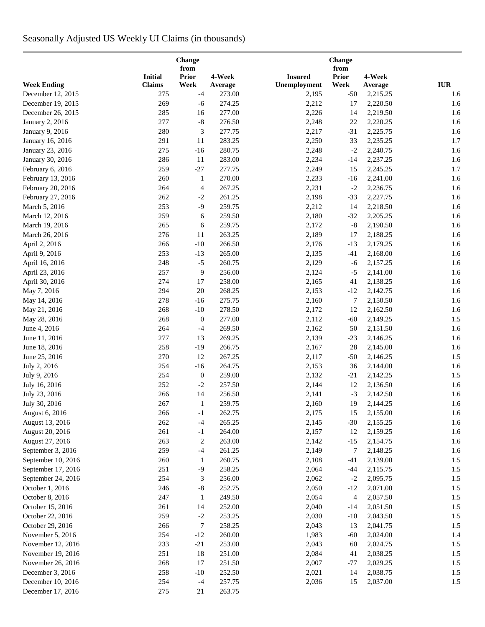# Seasonally Adjusted US Weekly UI Claims (in thousands)

|                                      |                | <b>Change</b><br>from |                  |                | Change<br>from           |                      |                                  |  |  |  |  |
|--------------------------------------|----------------|-----------------------|------------------|----------------|--------------------------|----------------------|----------------------------------|--|--|--|--|
|                                      | <b>Initial</b> | <b>Prior</b>          | 4-Week           | <b>Insured</b> | <b>Prior</b>             | 4-Week               |                                  |  |  |  |  |
| <b>Week Ending</b>                   | Claims         | Week                  | Average          | Unemployment   | Week                     | Average              | $\mathbf{I}\mathbf{U}\mathbf{R}$ |  |  |  |  |
| December 12, 2015                    | 275            | $-4$                  | 273.00           | 2,195          | $-50$                    | 2,215.25             | 1.6                              |  |  |  |  |
| December 19, 2015                    | 269            | $-6$                  | 274.25           | 2,212          | 17                       | 2,220.50             | 1.6                              |  |  |  |  |
| December 26, 2015                    | 285            | 16                    | 277.00           | 2,226          | 14                       | 2,219.50             | 1.6                              |  |  |  |  |
| January 2, 2016                      | 277            | $\mbox{-}8$           | 276.50           | 2,248          | 22                       | 2,220.25             | 1.6                              |  |  |  |  |
| January 9, 2016                      | 280            | 3                     | 277.75           | 2,217          | $-31$                    | 2,225.75             | 1.6                              |  |  |  |  |
| January 16, 2016                     | 291            | 11                    | 283.25           | 2,250          | 33                       | 2,235.25             | 1.7                              |  |  |  |  |
| January 23, 2016                     | 275            | $-16$                 | 280.75           | 2,248          | $-2$                     | 2,240.75             | 1.6                              |  |  |  |  |
| January 30, 2016                     | 286            | 11                    | 283.00           | 2,234          | $-14$                    | 2,237.25             | 1.6                              |  |  |  |  |
| February 6, 2016                     | 259            | $-27$                 | 277.75           | 2,249          | 15                       | 2,245.25             | 1.7                              |  |  |  |  |
| February 13, 2016                    | 260            | $\mathbf{1}$          | 270.00           | 2,233          | $-16$                    | 2,241.00             | 1.6                              |  |  |  |  |
| February 20, 2016                    | 264            | $\overline{4}$        | 267.25           | 2,231          | $-2$                     | 2,236.75             | 1.6                              |  |  |  |  |
| February 27, 2016                    | 262            | $-2$                  | 261.25           | 2,198          | $-33$                    | 2,227.75             | 1.6                              |  |  |  |  |
| March 5, 2016                        | 253            | $-9$                  | 259.75           | 2,212          | 14                       | 2,218.50             | 1.6                              |  |  |  |  |
| March 12, 2016                       | 259            | 6                     | 259.50           | 2,180          | $-32$                    | 2,205.25             | 1.6                              |  |  |  |  |
| March 19, 2016                       | 265            | 6                     | 259.75           | 2,172          | $\text{-}8$              | 2,190.50             | 1.6                              |  |  |  |  |
| March 26, 2016                       | 276            | 11                    | 263.25           | 2,189          | 17                       | 2,188.25             | 1.6                              |  |  |  |  |
| April 2, 2016                        | 266            | $-10$                 | 266.50           | 2,176          | $-13$                    | 2,179.25             | 1.6                              |  |  |  |  |
| April 9, 2016                        | 253            | $-13$                 | 265.00           | 2,135          | $-41$                    | 2,168.00             | 1.6                              |  |  |  |  |
| April 16, 2016                       | 248            | $-5$                  | 260.75           | 2,129          | $-6$                     | 2,157.25             | 1.6                              |  |  |  |  |
| April 23, 2016                       | 257            | 9                     | 256.00           | 2,124          | $-5$                     | 2,141.00             | 1.6                              |  |  |  |  |
| April 30, 2016                       | 274            | 17                    | 258.00           | 2,165          | 41                       | 2,138.25             | 1.6                              |  |  |  |  |
| May 7, 2016                          | 294            | $20\,$                | 268.25           | 2,153          | $-12$                    | 2,142.75             | 1.6                              |  |  |  |  |
| May 14, 2016                         | 278            | $-16$                 | 275.75           | 2,160          | 7                        | 2,150.50             | 1.6                              |  |  |  |  |
| May 21, 2016                         | 268            | $-10$                 | 278.50           | 2,172          | 12                       | 2,162.50             | 1.6                              |  |  |  |  |
| May 28, 2016                         | 268            | $\boldsymbol{0}$      | 277.00           | 2,112          | $-60$                    | 2,149.25             | 1.5                              |  |  |  |  |
| June 4, 2016                         | 264            | $-4$                  | 269.50           | 2,162          | 50                       | 2,151.50             | 1.6                              |  |  |  |  |
| June 11, 2016                        | 277            | 13                    | 269.25           | 2,139          | $-23$                    | 2,146.25             | 1.6                              |  |  |  |  |
| June 18, 2016                        | 258            | $-19$                 | 266.75           | 2,167          | 28                       | 2,145.00             | 1.6                              |  |  |  |  |
| June 25, 2016                        | 270            | 12                    | 267.25           | 2,117          | $-50$                    | 2,146.25             | 1.5                              |  |  |  |  |
| July 2, 2016                         | 254            | $-16$                 | 264.75           | 2,153          | 36                       | 2,144.00             | 1.6                              |  |  |  |  |
| July 9, 2016                         | 254            | $\boldsymbol{0}$      | 259.00           | 2,132          | $-21$                    | 2,142.25             | 1.5                              |  |  |  |  |
| July 16, 2016                        | 252            | $-2$                  | 257.50           | 2,144          | 12                       | 2,136.50             | 1.6                              |  |  |  |  |
| July 23, 2016                        | 266            | 14                    | 256.50           | 2,141          | $-3$                     | 2,142.50             | 1.6                              |  |  |  |  |
| July 30, 2016                        | 267            | $\mathbf{1}$          | 259.75           | 2,160          | 19                       | 2,144.25             | 1.6                              |  |  |  |  |
| August 6, 2016                       | 266            | $-1$                  | 262.75           | 2,175          | 15                       | 2,155.00             | 1.6                              |  |  |  |  |
| August 13, 2016                      | 262            | $-4$                  | 265.25           | 2,145          | $-30$                    | 2,155.25             | 1.6                              |  |  |  |  |
| August 20, 2016                      | 261            | $-1$                  | 264.00           | 2,157          | 12                       | 2,159.25             | 1.6                              |  |  |  |  |
| August 27, 2016                      | 263            | $\overline{c}$        | 263.00           | 2,142          | $-15$                    | 2,154.75             | 1.6                              |  |  |  |  |
| September 3, 2016                    | 259            | $-4$                  | 261.25           | 2,149          | 7                        | 2,148.25             | 1.6                              |  |  |  |  |
| September 10, 2016                   | 260            | $\mathbf{1}$          | 260.75           | 2,108          | $-41$                    | 2,139.00             | 1.5                              |  |  |  |  |
| September 17, 2016                   | 251            | $-9$                  | 258.25           | 2,064          | $-44$                    | 2,115.75             | 1.5                              |  |  |  |  |
| September 24, 2016                   | 254            | 3                     | 256.00           | 2,062          | $-2$                     | 2,095.75             | 1.5                              |  |  |  |  |
| October 1, 2016                      | 246            | $-8$                  | 252.75           | 2,050          | $-12$                    | 2,071.00             | 1.5                              |  |  |  |  |
| October 8, 2016                      | 247            | $\mathbf{1}$          | 249.50           | 2,054          | $\overline{\mathcal{A}}$ | 2,057.50             | 1.5                              |  |  |  |  |
| October 15, 2016                     | 261            | 14                    | 252.00           | 2,040          | $-14$                    | 2,051.50             | 1.5                              |  |  |  |  |
|                                      | 259            | $-2$                  |                  |                |                          |                      |                                  |  |  |  |  |
| October 22, 2016<br>October 29, 2016 | 266            | $\tau$                | 253.25<br>258.25 | 2,030<br>2,043 | $-10$<br>13              | 2,043.50<br>2,041.75 | 1.5<br>1.5                       |  |  |  |  |
|                                      | 254            |                       |                  |                |                          |                      |                                  |  |  |  |  |
| November 5, 2016                     |                | $-12$                 | 260.00           | 1,983          | $-60$                    | 2,024.00             | 1.4                              |  |  |  |  |
| November 12, 2016                    | 233            | $-21$                 | 253.00           | 2,043          | 60                       | 2,024.75             | 1.5                              |  |  |  |  |
| November 19, 2016                    | 251            | 18                    | 251.00           | 2,084          | 41                       | 2,038.25             | 1.5                              |  |  |  |  |
| November 26, 2016                    | 268            | 17                    | 251.50           | 2,007          | $-77$                    | 2,029.25             | 1.5                              |  |  |  |  |
| December 3, 2016                     | 258            | $-10$                 | 252.50           | 2,021          | 14                       | 2,038.75             | 1.5                              |  |  |  |  |
| December 10, 2016                    | 254            | $-4$                  | 257.75           | 2,036          | 15                       | 2,037.00             | 1.5                              |  |  |  |  |
| December 17, 2016                    | 275            | 21                    | 263.75           |                |                          |                      |                                  |  |  |  |  |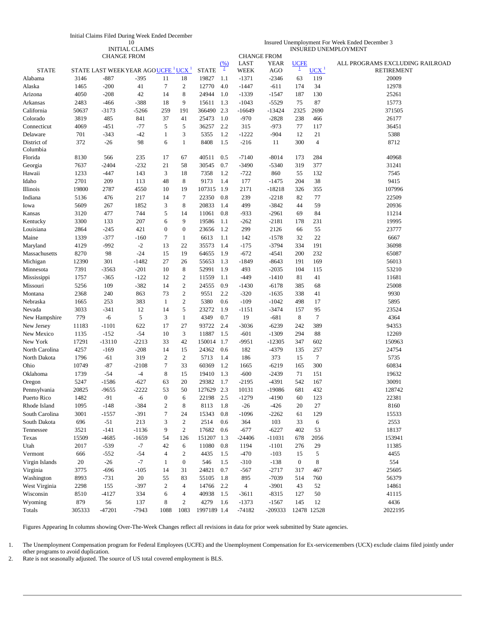| Initial Claims Filed During Week Ended December |  |
|-------------------------------------------------|--|
|-------------------------------------------------|--|

10 INITIAL CLAIMS

| Insured Unemployment For Week Ended December 3 |  |
|------------------------------------------------|--|
| <b>INSURED UNEMPLOYMENT</b>                    |  |

|                         |        | <b>CHANGE FROM</b>                      |         |                  |                                    |              |                        |                     | <b>CHANGE FROM</b> |                        |                  |                                                      |
|-------------------------|--------|-----------------------------------------|---------|------------------|------------------------------------|--------------|------------------------|---------------------|--------------------|------------------------|------------------|------------------------------------------------------|
| <b>STATE</b>            |        | STATE LAST WEEKYEAR AGOUCFE $1$ UCX $1$ |         |                  |                                    | <b>STATE</b> | (% )<br>$\overline{2}$ | LAST<br><b>WEEK</b> | YEAR<br>AGO        | <b>UCFE</b><br>$\perp$ | UCX <sup>1</sup> | ALL PROGRAMS EXCLUDING RAILROAD<br><b>RETIREMENT</b> |
| Alabama                 | 3146   | $-887$                                  | $-395$  | 11               | 18                                 | 19827        | 1.1                    | $-1371$             | $-2346$            | 63                     | 119              | 20009                                                |
| Alaska                  | 1465   | $-200$                                  | 41      | 7                | $\mathfrak{2}$                     | 12770        | 4.0                    | $-1447$             | $-611$             | 174                    | 34               | 12978                                                |
| Arizona                 | 4050   | $-208$                                  | 42      | 14               | 8                                  | 24944        | 1.0                    | $-1339$             | $-1547$            | 187                    | 130              | 25261                                                |
| Arkansas                | 2483   | $-466$                                  | -388    | 18               | 9                                  | 15611        | 1.3                    | $-1043$             | $-5529$            | 75                     | 87               | 15773                                                |
| California              | 50637  | $-3173$                                 | $-5266$ | 259              | 191                                | 366490       | 2.3                    | -16649              | -13424             | 2325                   | 2690             | 371505                                               |
| Colorado                | 3819   | 485                                     | 841     | 37               | 41                                 | 25473        | 1.0                    | $-970$              | $-2828$            | 238                    | 466              | 26177                                                |
| Connecticut             | 4069   | $-451$                                  | $-77$   | 5                | 5                                  | 36257        | 2.2                    | 315                 | $-973$             | 77                     | 117              | 36451                                                |
| Delaware                | 701    | $-343$                                  | $-42$   | 1                | 3                                  | 5355         | 1.2                    | $-1222$             | $-904$             | 12                     | 21               | 5388                                                 |
| District of<br>Columbia | 372    | $-26$                                   | 98      | 6                | $\mathbf{1}$                       | 8408         | 1.5                    | $-216$              | 11                 | 300                    | $\overline{4}$   | 8712                                                 |
| Florida                 | 8130   | 566                                     | 235     | 17               | 67                                 | 40511        | 0.5                    | $-7140$             | $-8014$            | 173                    | 284              | 40968                                                |
| Georgia                 | 7637   | $-2404$                                 | $-232$  | 21               | 58                                 | 30545        | 0.7                    | $-3490$             | $-5340$            | 319                    | 377              | 31241                                                |
| Hawaii                  | 1233   | $-447$                                  | 143     | 3                | 18                                 | 7358         | 1.2                    | $-722$              | 860                | 55                     | 132              | 7545                                                 |
| Idaho                   | 2701   | 209                                     | 113     | 48               | 8                                  | 9173         | 1.4                    | 177                 | $-1475$            | 204                    | 38               | 9415                                                 |
| Illinois                | 19800  | 2787                                    | 4550    | 10               | 19                                 | 107315       | 1.9                    | 2171                | $-18218$           | 326                    | 355              | 107996                                               |
| Indiana                 | 5136   | 476                                     | 217     | 14               | $\tau$                             | 22350        | 0.8                    | 239                 | $-2218$            | 82                     | 77               | 22509                                                |
| Iowa                    | 5609   | 267                                     | 1852    | 3                | $\,8\,$                            | 20833        | 1.4                    | 499                 | $-3842$            | 44                     | 59               | 20936                                                |
| Kansas                  | 3120   | 477                                     | 744     | 5                | 14                                 | 11061        | 0.8                    | $-933$              | $-2961$            | 69                     | 84               | 11214                                                |
| Kentucky                | 3300   | 133                                     | 207     | 6                | 9                                  | 19586        | 1.1                    | $-262$              | $-2181$            | 178                    | 231              | 19995                                                |
| Louisiana               | 2864   | $-245$                                  | 421     | $\boldsymbol{0}$ | $\boldsymbol{0}$                   | 23656        | 1.2                    | 299                 | 2126               | 66                     | 55               | 23777                                                |
| Maine                   | 1339   | $-377$                                  | $-160$  | 7                | $\mathbf{1}$                       | 6613         | 1.1                    | 142                 | $-1578$            | 32                     | 22               | 6667                                                 |
| Maryland                | 4129   | $-992$                                  | $-2$    | 13               | 22                                 | 35573        | 1.4                    | $-175$              | $-3794$            | 334                    | 191              | 36098                                                |
| Massachusetts           | 8270   | 98                                      | $-24$   | 15               | 19                                 | 64655        | 1.9                    | $-672$              | $-4541$            | 200                    | 232              | 65087                                                |
|                         | 12390  | 301                                     | $-1482$ | 27               | 26                                 | 55653        | 1.3                    | -1849               | $-8643$            | 191                    | 169              | 56013                                                |
| Michigan                | 7391   |                                         | $-201$  | 10               | 8                                  | 52991        | 1.9                    | 493                 | $-2035$            | 104                    | 115              | 53210                                                |
| Minnesota               |        | $-3563$                                 |         |                  |                                    |              |                        |                     |                    |                        |                  |                                                      |
| Mississippi             | 1757   | $-365$                                  | $-122$  | 12               | $\boldsymbol{2}$<br>$\mathfrak{2}$ | 11559        | 1.1                    | $-449$              | $-1410$            | 81                     | 41               | 11681                                                |
| Missouri                | 5256   | 109                                     | $-382$  | 14               |                                    | 24555        | 0.9                    | $-1430$             | $-6178$            | 385                    | 68               | 25008                                                |
| Montana                 | 2368   | 240                                     | 863     | 73               | $\sqrt{2}$                         | 9551         | 2.2                    | $-320$              | $-1635$            | 338                    | 41               | 9930                                                 |
| Nebraska                | 1665   | 253                                     | 383     | 1                | $\boldsymbol{2}$                   | 5380         | 0.6                    | $-109$              | $-1042$            | 498                    | 17               | 5895                                                 |
| Nevada                  | 3033   | $-341$                                  | 12      | 14               | 5                                  | 23272        | 1.9                    | $-1151$             | $-3474$            | 157                    | 95               | 23524                                                |
| New Hampshire           | 779    | $-6$                                    | 5       | 3                | -1                                 | 4349         | 0.7                    | 19                  | $-681$             | 8                      | 7                | 4364                                                 |
| New Jersey              | 11183  | $-1101$                                 | 622     | 17               | 27                                 | 93722        | 2.4                    | $-3036$             | -6239              | 242                    | 389              | 94353                                                |
| New Mexico              | 1135   | $-152$                                  | $-54$   | 10               | 3                                  | 11887        | 1.5                    | $-601$              | $-1309$            | 294                    | 88               | 12269                                                |
| New York                | 17291  | $-13110$                                | $-2213$ | 33               | 42                                 | 150014       | 1.7                    | $-9951$             | $-12305$           | 347                    | 602              | 150963                                               |
| North Carolina          | 4257   | $-169$                                  | $-208$  | 14               | 15                                 | 24362        | 0.6                    | 182                 | -4379              | 135                    | 257              | 24754                                                |
| North Dakota            | 1796   | $-61$                                   | 319     | $\overline{c}$   | $\sqrt{2}$                         | 5713         | 1.4                    | 186                 | 373                | 15                     | $\tau$           | 5735                                                 |
| Ohio                    | 10749  | $-87$                                   | $-2108$ | $\tau$           | 33                                 | 60369        | 1.2                    | 1665                | $-6219$            | 165                    | 300              | 60834                                                |
| Oklahoma                | 1739   | $-54$                                   | $-4$    | 8                | 15                                 | 19410        | 1.3                    | $-600$              | $-2439$            | 71                     | 151              | 19632                                                |
| Oregon                  | 5247   | $-1586$                                 | $-627$  | 63               | 20                                 | 29382        | 1.7                    | $-2195$             | $-4391$            | 542                    | 167              | 30091                                                |
| Pennsylvania            | 20825  | $-9655$                                 | -2222   | 53               | 50                                 | 127629       | 2.3                    | 10131               | -19086             | 681                    | 432              | 128742                                               |
| Puerto Rico             | 1482   | $-91$                                   | -6      | $\overline{0}$   | 6                                  | 22198        | 2.5                    | $-1279$             | $-4190$            | 60                     | 123              | 22381                                                |
| Rhode Island            | 1095   | $-148$                                  | $-384$  | 2                | 8                                  | 8113         | 1.8                    | $-26$               | $-426$             | 20                     | 27               | 8160                                                 |
| South Carolina          | 3001   | $-1557$                                 | $-391$  | 7                | 24                                 | 15343        | 0.8                    | $-1096$             | $-2262$            | 61                     | 129              | 15533                                                |
| South Dakota            | 696    | $-51$                                   | 213     | 3                | $\sqrt{2}$                         | 2514         | 0.6                    | 364                 | 103                | 33                     | 6                | 2553                                                 |
| Tennessee               | 3521   | $-141$                                  | $-1136$ | 9                | $\sqrt{2}$                         | 17682        | 0.6                    | $-677$              | $-6227$            | 402                    | 53               | 18137                                                |
| Texas                   | 15509  | $-4685$                                 | $-1659$ | 54               | 126                                | 151207       | 1.3                    | $-24406$            | $-11031$           | 678                    | 2056             | 153941                                               |
| Utah                    | 2017   | $-539$                                  | $-7$    | 42               | 6                                  | 11080        | 0.8                    | 1194                | $-1101$            | 276                    | 29               | 11385                                                |
| Vermont                 | 666    | $-552$                                  | $-54$   | 4                | $\boldsymbol{2}$                   | 4435         | 1.5                    | $-470$              | $-103$             | 15                     | 5                | 4455                                                 |
| Virgin Islands          | 20     | $-26$                                   | $-7$    | $\mathbf{1}$     | $\boldsymbol{0}$                   | 546          | 1.5                    | $-310$              | $-138$             | $\boldsymbol{0}$       | 8                | 554                                                  |
| Virginia                | 3775   | $-696$                                  | $-105$  | 14               | 31                                 | 24821        | 0.7                    | $-567$              | $-2717$            | 317                    | 467              | 25605                                                |
| Washington              | 8993   | $-731$                                  | 20      | 55               | 83                                 | 55105        | 1.8                    | 895                 | $-7039$            | 514                    | 760              | 56379                                                |
| West Virginia           | 2298   | 155                                     | $-397$  | $\overline{c}$   | $\overline{4}$                     | 14766        | 2.2                    | $\overline{4}$      | $-3901$            | 43                     | 52               | 14861                                                |
| Wisconsin               | 8510   | $-4127$                                 | 334     | 6                | 4                                  | 40938        | 1.5                    | $-3611$             | $-8315$            | 127                    | 50               | 41115                                                |
| Wyoming                 | 879    | 56                                      | 137     | 8                | $\boldsymbol{2}$                   | 4279         | 1.6                    | $-1373$             | $-1567$            | 145                    | 12               | 4436                                                 |
| Totals                  | 305333 | $-47201$                                | $-7943$ | 1088             | 1083                               | 1997189 1.4  |                        | $-74182$            | -209333            |                        | 12478 12528      | 2022195                                              |

Figures Appearing In columns showing Over-The-Week Changes reflect all revisions in data for prior week submitted by State agencies.

1. The Unemployment Compensation program for Federal Employees (UCFE) and the Unemployment Compensation for Ex-servicemembers (UCX) exclude claims filed jointly under other programs to avoid duplication.

2. Rate is not seasonally adjusted. The source of US total covered employment is BLS.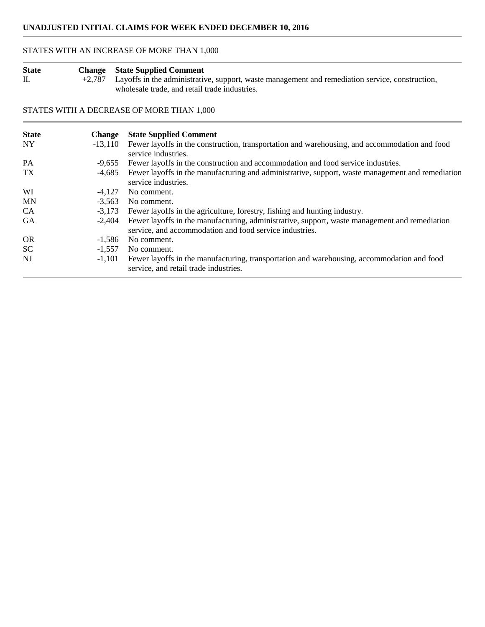# STATES WITH AN INCREASE OF MORE THAN 1,000

| <b>State</b> | <b>Change</b> State Supplied Comment                                                                     |
|--------------|----------------------------------------------------------------------------------------------------------|
|              | $+2,787$ Layoffs in the administrative, support, waste management and remediation service, construction, |
|              | wholesale trade, and retail trade industries.                                                            |

# STATES WITH A DECREASE OF MORE THAN 1,000

| <b>State</b> | <b>Change</b> | <b>State Supplied Comment</b>                                                                                                                            |
|--------------|---------------|----------------------------------------------------------------------------------------------------------------------------------------------------------|
| <b>NY</b>    | $-13.110$     | Fewer layoffs in the construction, transportation and warehousing, and accommodation and food<br>service industries.                                     |
| <b>PA</b>    | $-9.655$      | Fewer layoffs in the construction and accommodation and food service industries.                                                                         |
| <b>TX</b>    | -4,685        | Fewer layoffs in the manufacturing and administrative, support, waste management and remediation<br>service industries.                                  |
| WI           | -4.127        | No comment.                                                                                                                                              |
| <b>MN</b>    | $-3,563$      | No comment.                                                                                                                                              |
| CA           | $-3.173$      | Fewer layoffs in the agriculture, forestry, fishing and hunting industry.                                                                                |
| <b>GA</b>    | $-2.404$      | Fewer layoffs in the manufacturing, administrative, support, waste management and remediation<br>service, and accommodation and food service industries. |
| <b>OR</b>    | $-1.586$      | No comment.                                                                                                                                              |
| <b>SC</b>    | $-1.557$      | No comment.                                                                                                                                              |
| NJ           | $-1.101$      | Fewer layoffs in the manufacturing, transportation and warehousing, accommodation and food<br>service, and retail trade industries.                      |